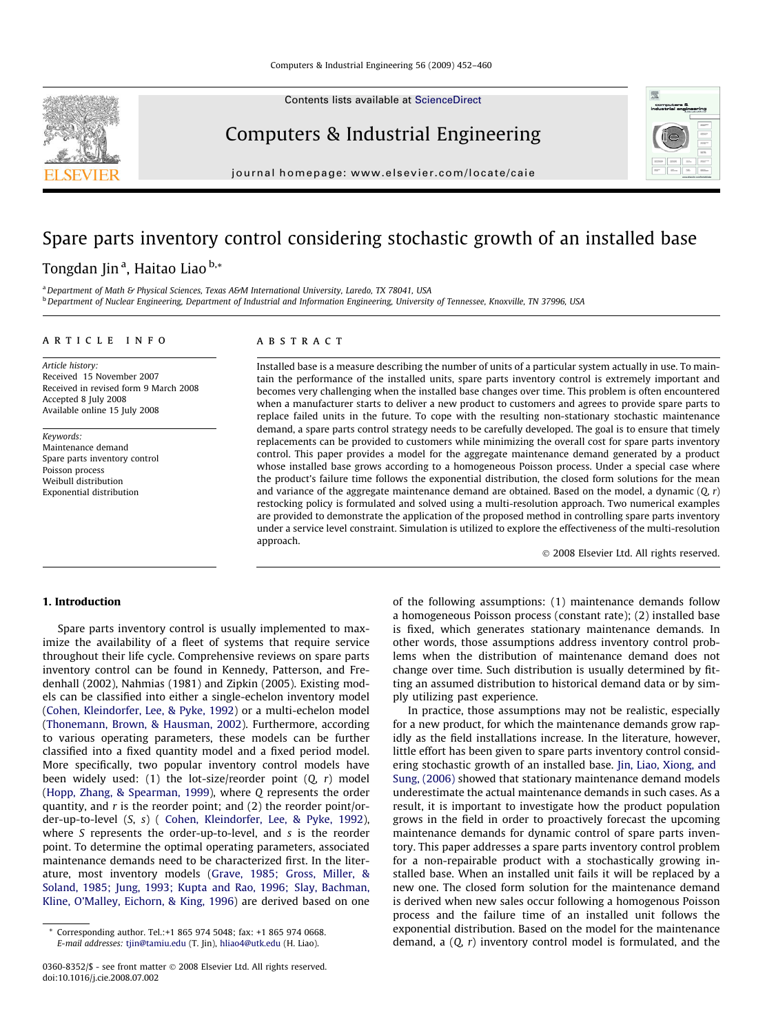Contents lists available at [ScienceDirect](http://www.sciencedirect.com/science/journal/03608352)



journal homepage: [www.elsevier.com/locate/caie](http://www.elsevier.com/locate/caie)

## Spare parts inventory control considering stochastic growth of an installed base

### Tongdan Jin <sup>a</sup>, Haitao Liao <sup>b,</sup>\*

<sup>a</sup> Department of Math & Physical Sciences, Texas A&M International University, Laredo, TX 78041, USA bDepartment of Nuclear Engineering, Department of Industrial and Information Engineering, University of Tennessee, Knoxville, TN 37996, USA

#### article info

#### **ABSTRACT**

Article history: Received 15 November 2007 Received in revised form 9 March 2008 Accepted 8 July 2008 Available online 15 July 2008

Keywords: Maintenance demand Spare parts inventory control Poisson process Weibull distribution Exponential distribution

Installed base is a measure describing the number of units of a particular system actually in use. To maintain the performance of the installed units, spare parts inventory control is extremely important and becomes very challenging when the installed base changes over time. This problem is often encountered when a manufacturer starts to deliver a new product to customers and agrees to provide spare parts to replace failed units in the future. To cope with the resulting non-stationary stochastic maintenance demand, a spare parts control strategy needs to be carefully developed. The goal is to ensure that timely replacements can be provided to customers while minimizing the overall cost for spare parts inventory control. This paper provides a model for the aggregate maintenance demand generated by a product whose installed base grows according to a homogeneous Poisson process. Under a special case where the product's failure time follows the exponential distribution, the closed form solutions for the mean and variance of the aggregate maintenance demand are obtained. Based on the model, a dynamic  $(Q, r)$ restocking policy is formulated and solved using a multi-resolution approach. Two numerical examples are provided to demonstrate the application of the proposed method in controlling spare parts inventory under a service level constraint. Simulation is utilized to explore the effectiveness of the multi-resolution approach.

- 2008 Elsevier Ltd. All rights reserved.

#### 1. Introduction

Spare parts inventory control is usually implemented to maximize the availability of a fleet of systems that require service throughout their life cycle. Comprehensive reviews on spare parts inventory control can be found in Kennedy, Patterson, and Fredenhall (2002), Nahmias (1981) and Zipkin (2005). Existing models can be classified into either a single-echelon inventory model ([Cohen, Kleindorfer, Lee, & Pyke, 1992\)](#page--1-0) or a multi-echelon model ([Thonemann, Brown, & Hausman, 2002\)](#page--1-0). Furthermore, according to various operating parameters, these models can be further classified into a fixed quantity model and a fixed period model. More specifically, two popular inventory control models have been widely used: (1) the lot-size/reorder point  $(0, r)$  model ([Hopp, Zhang, & Spearman, 1999\)](#page--1-0), where Q represents the order quantity, and  $r$  is the reorder point; and  $(2)$  the reorder point/order-up-to-level (S, s) ( [Cohen, Kleindorfer, Lee, & Pyke, 1992\)](#page--1-0), where S represents the order-up-to-level, and s is the reorder point. To determine the optimal operating parameters, associated maintenance demands need to be characterized first. In the literature, most inventory models ([Grave, 1985; Gross, Miller, &](#page--1-0) [Soland, 1985; Jung, 1993; Kupta and Rao, 1996; Slay, Bachman,](#page--1-0) [Kline, O'Malley, Eichorn, & King, 1996](#page--1-0)) are derived based on one of the following assumptions: (1) maintenance demands follow a homogeneous Poisson process (constant rate); (2) installed base is fixed, which generates stationary maintenance demands. In other words, those assumptions address inventory control problems when the distribution of maintenance demand does not change over time. Such distribution is usually determined by fitting an assumed distribution to historical demand data or by simply utilizing past experience.

In practice, those assumptions may not be realistic, especially for a new product, for which the maintenance demands grow rapidly as the field installations increase. In the literature, however, little effort has been given to spare parts inventory control considering stochastic growth of an installed base. [Jin, Liao, Xiong, and](#page--1-0) [Sung, \(2006\)](#page--1-0) showed that stationary maintenance demand models underestimate the actual maintenance demands in such cases. As a result, it is important to investigate how the product population grows in the field in order to proactively forecast the upcoming maintenance demands for dynamic control of spare parts inventory. This paper addresses a spare parts inventory control problem for a non-repairable product with a stochastically growing installed base. When an installed unit fails it will be replaced by a new one. The closed form solution for the maintenance demand is derived when new sales occur following a homogenous Poisson process and the failure time of an installed unit follows the exponential distribution. Based on the model for the maintenance demand, a  $(Q, r)$  inventory control model is formulated, and the



Corresponding author. Tel.:+1 865 974 5048; fax: +1 865 974 0668. E-mail addresses: [tjin@tamiu.edu](mailto:tjin@tamiu.edu) (T. Jin), [hliao4@utk.edu](mailto:hliao4@utk.edu) (H. Liao).

<sup>0360-8352/\$ -</sup> see front matter © 2008 Elsevier Ltd. All rights reserved. doi:10.1016/j.cie.2008.07.002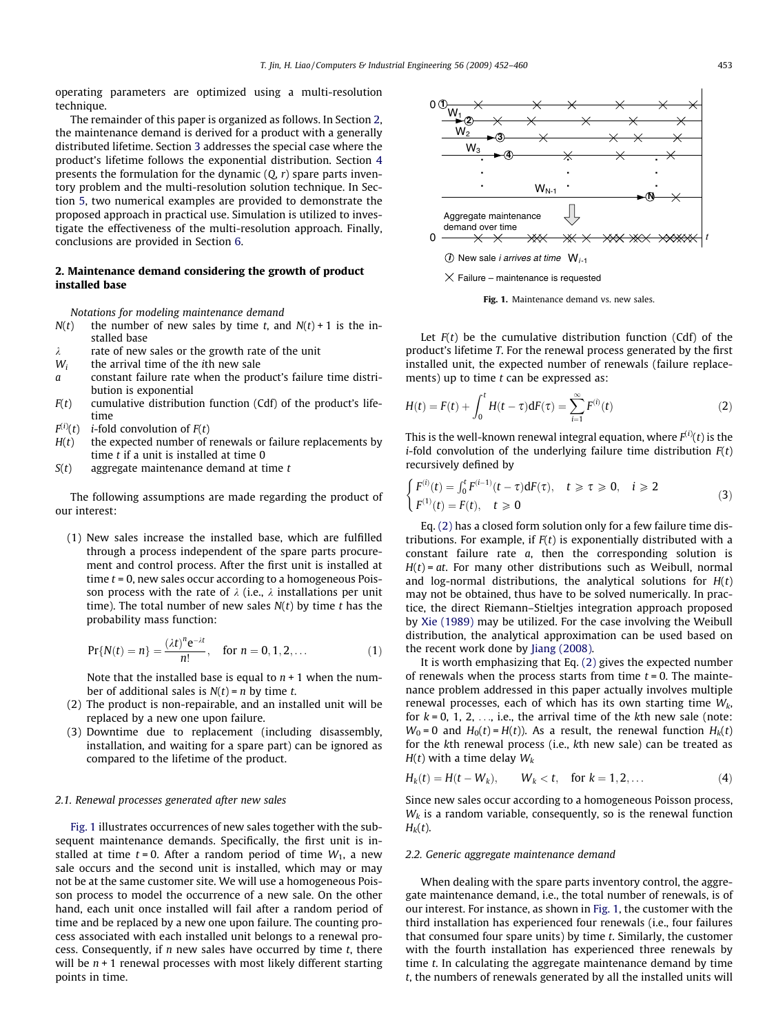operating parameters are optimized using a multi-resolution technique.

The remainder of this paper is organized as follows. In Section 2, the maintenance demand is derived for a product with a generally distributed lifetime. Section [3](#page--1-0) addresses the special case where the product's lifetime follows the exponential distribution. Section [4](#page--1-0) presents the formulation for the dynamic  $(Q, r)$  spare parts inventory problem and the multi-resolution solution technique. In Section [5](#page--1-0), two numerical examples are provided to demonstrate the proposed approach in practical use. Simulation is utilized to investigate the effectiveness of the multi-resolution approach. Finally, conclusions are provided in Section [6.](#page--1-0)

#### 2. Maintenance demand considering the growth of product installed base

Notations for modeling maintenance demand

- $N(t)$  the number of new sales by time t, and  $N(t) + 1$  is the installed base
- $\lambda$  rate of new sales or the growth rate of the unit
- $W_i$  the arrival time of the *i*th new sale
- a constant failure rate when the product's failure time distribution is exponential
- $F(t)$  cumulative distribution function (Cdf) of the product's lifetime
- $F^{(i)}(t)$ *i*-fold convolution of  $F(t)$
- $H(t)$  the expected number of renewals or failure replacements by time  $t$  if a unit is installed at time  $0$
- $S(t)$  aggregate maintenance demand at time t

The following assumptions are made regarding the product of our interest:

(1) New sales increase the installed base, which are fulfilled through a process independent of the spare parts procurement and control process. After the first unit is installed at time  $t = 0$ , new sales occur according to a homogeneous Poisson process with the rate of  $\lambda$  (i.e.,  $\lambda$  installations per unit time). The total number of new sales  $N(t)$  by time t has the probability mass function:

$$
Pr{N(t) = n} = \frac{(\lambda t)^n e^{-\lambda t}}{n!}, \quad \text{for } n = 0, 1, 2, ...
$$
 (1)

Note that the installed base is equal to  $n + 1$  when the number of additional sales is  $N(t) = n$  by time t.

- (2) The product is non-repairable, and an installed unit will be replaced by a new one upon failure.
- (3) Downtime due to replacement (including disassembly, installation, and waiting for a spare part) can be ignored as compared to the lifetime of the product.

#### 2.1. Renewal processes generated after new sales

Fig. 1 illustrates occurrences of new sales together with the subsequent maintenance demands. Specifically, the first unit is installed at time  $t = 0$ . After a random period of time  $W_1$ , a new sale occurs and the second unit is installed, which may or may not be at the same customer site. We will use a homogeneous Poisson process to model the occurrence of a new sale. On the other hand, each unit once installed will fail after a random period of time and be replaced by a new one upon failure. The counting process associated with each installed unit belongs to a renewal process. Consequently, if  $n$  new sales have occurred by time  $t$ , there will be  $n + 1$  renewal processes with most likely different starting points in time.





Let  $F(t)$  be the cumulative distribution function (Cdf) of the product's lifetime T. For the renewal process generated by the first installed unit, the expected number of renewals (failure replacements) up to time  $t$  can be expressed as:

$$
H(t) = F(t) + \int_0^t H(t - \tau) dF(\tau) = \sum_{i=1}^{\infty} F^{(i)}(t)
$$
 (2)

This is the well-known renewal integral equation, where  $F^{(i)}(t)$  is the *i*-fold convolution of the underlying failure time distribution  $F(t)$ recursively defined by

$$
\begin{cases} F^{(i)}(t) = \int_0^t F^{(i-1)}(t-\tau) dF(\tau), & t \ge \tau \ge 0, \quad i \ge 2\\ F^{(1)}(t) = F(t), & t \ge 0 \end{cases}
$$
(3)

Eq. (2) has a closed form solution only for a few failure time distributions. For example, if  $F(t)$  is exponentially distributed with a constant failure rate a, then the corresponding solution is  $H(t) = at$ . For many other distributions such as Weibull, normal and log-normal distributions, the analytical solutions for  $H(t)$ may not be obtained, thus have to be solved numerically. In practice, the direct Riemann–Stieltjes integration approach proposed by [Xie \(1989\)](#page--1-0) may be utilized. For the case involving the Weibull distribution, the analytical approximation can be used based on the recent work done by [Jiang \(2008\)](#page--1-0).

It is worth emphasizing that Eq. (2) gives the expected number of renewals when the process starts from time  $t = 0$ . The maintenance problem addressed in this paper actually involves multiple renewal processes, each of which has its own starting time  $W_k$ , for  $k = 0, 1, 2, \ldots$ , i.e., the arrival time of the kth new sale (note:  $W_0 = 0$  and  $H_0(t) = H(t)$ ). As a result, the renewal function  $H_k(t)$ for the kth renewal process (i.e., kth new sale) can be treated as  $H(t)$  with a time delay  $W_k$ 

$$
H_k(t) = H(t - W_k), \qquad W_k < t, \quad \text{for } k = 1, 2, \dots \tag{4}
$$

Since new sales occur according to a homogeneous Poisson process,  $W_k$  is a random variable, consequently, so is the renewal function  $H_k(t)$ .

#### 2.2. Generic aggregate maintenance demand

When dealing with the spare parts inventory control, the aggregate maintenance demand, i.e., the total number of renewals, is of our interest. For instance, as shown in Fig. 1, the customer with the third installation has experienced four renewals (i.e., four failures that consumed four spare units) by time  $t$ . Similarly, the customer with the fourth installation has experienced three renewals by time t. In calculating the aggregate maintenance demand by time t, the numbers of renewals generated by all the installed units will